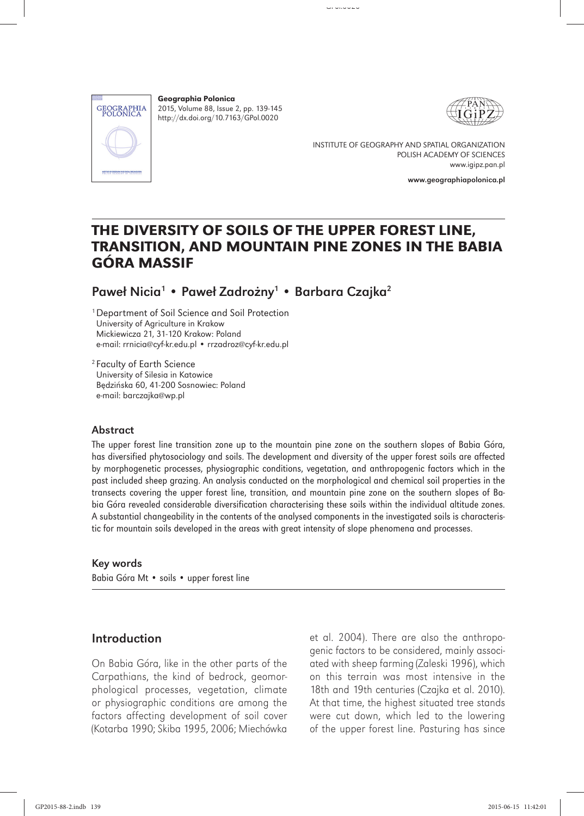

Geographia Polonica 2015, Volume 88, Issue 2, pp. 139-145 http://dx.doi.org/10.7163/GPol.0020



INSTITUTE OF GEOGRAPHY AND SPATIAL ORGANIZATION POLISH ACADEMY OF SCIENCES www.igipz.pan.pl

www.geographiapolonica.pl

# THE DIVERSITY OF SOILS OF THE UPPER FOREST LINE, TRANSITION, AND MOUNTAIN PINE ZONES IN THE BABIA GÓRA MASSIF

Paweł Nicia<sup>1</sup> • Paweł Zadrożny<sup>1</sup> • Barbara Czajka<sup>2</sup>

1 Department of Soil Science and Soil Protection University of Agriculture in Krakow Mickiewicza 21, 31-120 Krakow: Poland e-mail: rrnicia@cyf-kr.edu.pl • rrzadroz@cyf-kr.edu.pl

2 Faculty of Earth Science University of Silesia in Katowice Będzińska 60, 41-200 Sosnowiec: Poland e-mail: barczajka@wp.pl

### Abstract

The upper forest line transition zone up to the mountain pine zone on the southern slopes of Babia Góra, has diversified phytosociology and soils. The development and diversity of the upper forest soils are affected by morphogenetic processes, physiographic conditions, vegetation, and anthropogenic factors which in the past included sheep grazing. An analysis conducted on the morphological and chemical soil properties in the transects covering the upper forest line, transition, and mountain pine zone on the southern slopes of Babia Góra revealed considerable diversification characterising these soils within the individual altitude zones. A substantial changeability in the contents of the analysed components in the investigated soils is characteristic for mountain soils developed in the areas with great intensity of slope phenomena and processes.

### Key words

Babia Góra Mt • soils • upper forest line

# Introduction

On Babia Góra, like in the other parts of the Carpathians, the kind of bedrock, geomorphological processes, vegetation, climate or physiographic conditions are among the factors affecting development of soil cover (Kotarba 1990; Skiba 1995, 2006; Miechówka

et al. 2004). There are also the anthropogenic factors to be considered, mainly associated with sheep farming (Zaleski 1996), which on this terrain was most intensive in the 18th and 19th centuries (Czajka et al. 2010). At that time, the highest situated tree stands were cut down, which led to the lowering of the upper forest line. Pasturing has since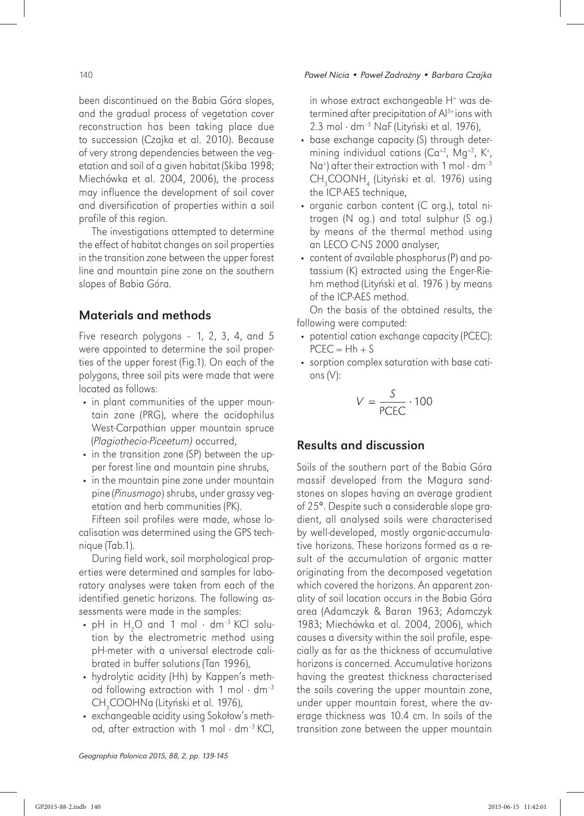been discontinued on the Babia Góra slopes, and the gradual process of vegetation cover reconstruction has been taking place due to succession (Czajka et al. 2010). Because of very strong dependencies between the vegetation and soil of a given habitat (Skiba 1998; Miechówka et al. 2004, 2006), the process may influence the development of soil cover and diversification of properties within a soil profile of this region.

The investigations attempted to determine the effect of habitat changes on soil properties in the transition zone between the upper forest line and mountain pine zone on the southern slopes of Babia Góra.

# Materials and methods

Five research polygons – 1, 2, 3, 4, and 5 were appointed to determine the soil properties of the upper forest (Fig.1). On each of the polygons, three soil pits were made that were located as follows:

- in plant communities of the upper mountain zone (PRG), where the acidophilus West-Carpathian upper mountain spruce (*Plagiothecio*-*Piceetum)* occurred,
- in the transition zone (SP) between the upper forest line and mountain pine shrubs,
- in the mountain pine zone under mountain pine (*Pinusmogo*) shrubs, under grassy vegetation and herb communities (PK).

Fifteen soil profiles were made, whose localisation was determined using the GPS technique (Tab.1).

During field work, soil morphological properties were determined and samples for laboratory analyses were taken from each of the identified genetic horizons. The following assessments were made in the samples:

- pH in  $H_2O$  and 1 mol  $\cdot$  dm<sup>-3</sup> KCl solution by the electrometric method using pH-meter with a universal electrode calibrated in buffer solutions (Tan 1996),
- hydrolytic acidity (Hh) by Kappen's method following extraction with 1 mol  $\cdot$  dm<sup>-3</sup> CH<sub>3</sub>COOHNa (Lityński et al. 1976),
- exchangeable acidity using Sokołow's method, after extraction with 1 mol  $\cdot$  dm<sup>-3</sup> KCl,

in whose extract exchangeable H<sup>+</sup> was determined after precipitation of Al3+ ions with 2.3 mol · dm<sup>-3</sup> NaF (Lityński et al. 1976),

- base exchange capacity (S) through determining individual cations (Ca<sup>+2</sup>, Mg<sup>+2</sup>, K<sup>+</sup>, Na<sup>+</sup>) after their extraction with 1 mol  $\cdot$  dm<sup>-3</sup> CH<sub>3</sub>COONH<sub>4</sub> (Lityński et al. 1976) using the ICP-AES technique,
- organic carbon content (C org.), total nitrogen (N og.) and total sulphur (S og.) by means of the thermal method using an LECO C-NS 2000 analyser,
- content of available phosphorus (P) and potassium (K) extracted using the Enger-Riehm method (Lityński et al. 1976 ) by means of the ICP-AES method.

On the basis of the obtained results, the following were computed:

- potential cation exchange capacity (PCEC):  $PCEC = Hh + S$
- sorption complex saturation with base cations (V):

$$
V = \frac{S}{\text{PCEC}} \cdot 100
$$

# Results and discussion

Soils of the southern part of the Babia Góra massif developed from the Magura sandstones on slopes having an average gradient of 25°. Despite such a considerable slope gradient, all analysed soils were characterised by well-developed, mostly organic-accumulative horizons. These horizons formed as a result of the accumulation of organic matter originating from the decomposed vegetation which covered the horizons. An apparent zonality of soil location occurs in the Babia Góra area (Adamczyk & Baran 1963; Adamczyk 1983; Miechówka et al. 2004, 2006), which causes a diversity within the soil profile, especially as far as the thickness of accumulative horizons is concerned. Accumulative horizons having the greatest thickness characterised the soils covering the upper mountain zone, under upper mountain forest, where the average thickness was 10.4 cm. In soils of the transition zone between the upper mountain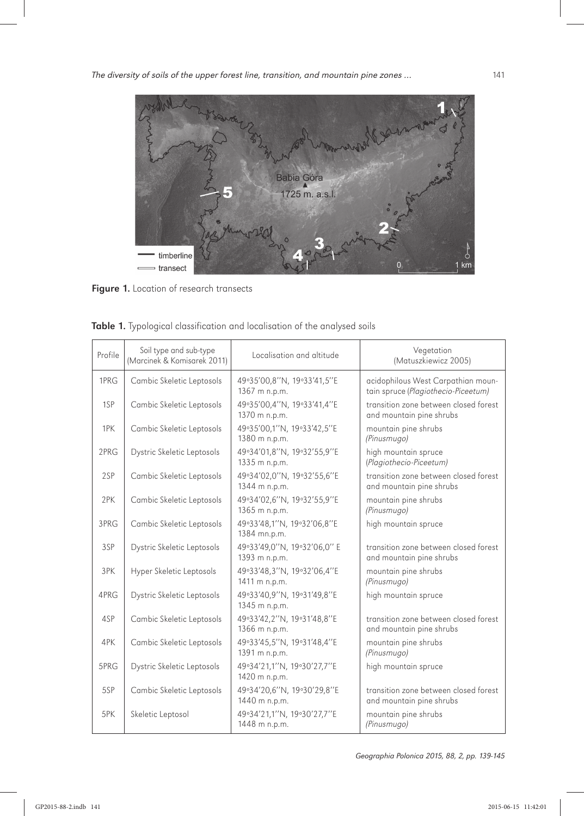

Figure 1. Location of research transects

| Profile | Soil type and sub-type<br>(Marcinek & Komisarek 2011) | Vegetation<br>Localisation and altitude<br>(Matuszkiewicz 2005) |                                                                           |
|---------|-------------------------------------------------------|-----------------------------------------------------------------|---------------------------------------------------------------------------|
| 1PRG    | Cambic Skeletic Leptosols                             | 49°35'00,8"N, 19°33'41,5"E<br>1367 m n.p.m.                     | acidophilous West Carpathian moun-<br>tain spruce (Plagiothecio-Piceetum) |
| 1SP     | Cambic Skeletic Leptosols                             | 49°35'00,4"N, 19°33'41,4"E<br>1370 m n.p.m.                     | transition zone between closed forest<br>and mountain pine shrubs         |
| 1PK     | Cambic Skeletic Leptosols                             | 49°35'00,1"N, 19°33'42,5"E<br>1380 m n.p.m.                     | mountain pine shrubs<br>(Pinusmugo)                                       |
| 2PRG    | Dystric Skeletic Leptosols                            | 49°34'01,8"N, 19°32'55,9"E<br>1335 m n.p.m.                     | high mountain spruce<br>(Plagiothecio-Piceetum)                           |
| 2SP     | Cambic Skeletic Leptosols                             | 49°34'02,0"N, 19°32'55,6"E<br>1344 m n.p.m.                     | transition zone between closed forest<br>and mountain pine shrubs         |
| 2PK     | Cambic Skeletic Leptosols                             | 49°34'02,6"N, 19°32'55,9"E<br>1365 m n.p.m.                     | mountain pine shrubs<br>(Pinusmugo)                                       |
| 3PRG    | Cambic Skeletic Leptosols                             | 49°33'48,1"N, 19°32'06,8"E<br>1384 mn.p.m.                      | high mountain spruce                                                      |
| 3SP     | Dystric Skeletic Leptosols                            | 49°33'49,0"N, 19°32'06,0" E<br>1393 m n.p.m.                    | transition zone between closed forest<br>and mountain pine shrubs         |
| 3PK     | Hyper Skeletic Leptosols                              | 49°33'48,3"N, 19°32'06,4"E<br>1411 m n.p.m.                     | mountain pine shrubs<br>(Pinusmugo)                                       |
| 4PRG    | Dystric Skeletic Leptosols                            | 49°33'40,9"N, 19°31'49,8"E<br>1345 m n.p.m.                     | high mountain spruce                                                      |
| 4SP     | Cambic Skeletic Leptosols                             | 49°33'42,2"N, 19°31'48,8"E<br>1366 m n.p.m.                     | transition zone between closed forest<br>and mountain pine shrubs         |
| 4PK     | Cambic Skeletic Leptosols                             | 49°33'45,5"N, 19°31'48,4"E<br>1391 m n.p.m.                     | mountain pine shrubs<br>(Pinusmugo)                                       |
| 5PRG    | Dystric Skeletic Leptosols                            | 49°34'21,1"N, 19°30'27,7"E<br>1420 m n.p.m.                     | high mountain spruce                                                      |
| 5SP     | Cambic Skeletic Leptosols                             | 49°34'20,6"N, 19°30'29,8"E<br>1440 m n.p.m.                     | transition zone between closed forest<br>and mountain pine shrubs         |
| 5PK     | Skeletic Leptosol                                     | 49°34'21,1"N, 19°30'27,7"E<br>1448 m n.p.m.                     | mountain pine shrubs<br>(Pinusmugo)                                       |

Table 1. Typological classification and localisation of the analysed soils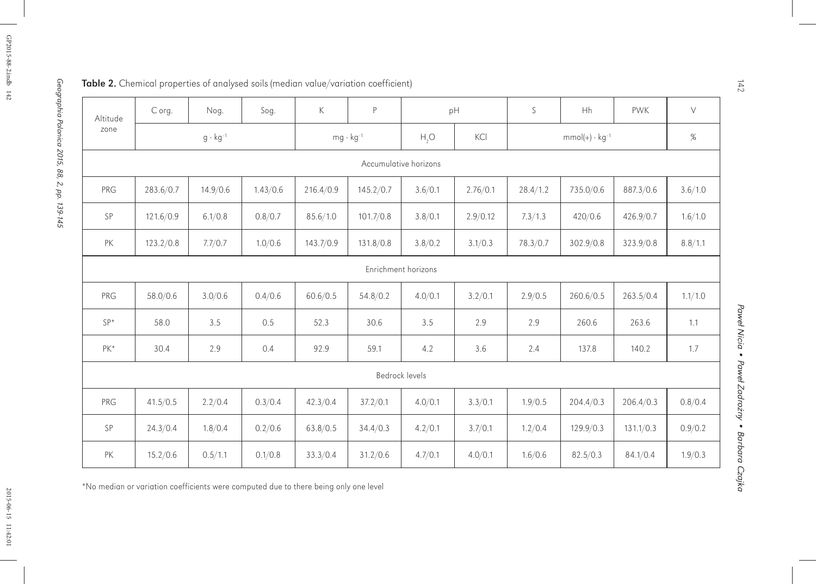| Altitude<br>zone | C org.            | Nog.     | Sog.               | $\mathsf{K}$ | P         |                       | pH                      | S        | Hh        | <b>PWK</b> | $\vee$  |
|------------------|-------------------|----------|--------------------|--------------|-----------|-----------------------|-------------------------|----------|-----------|------------|---------|
|                  | $g \cdot kg^{-1}$ |          | $mg \cdot kg^{-1}$ |              | H, O      | KCI                   | $mmol(+) \cdot kg^{-1}$ |          |           | %          |         |
|                  |                   |          |                    |              |           | Accumulative horizons |                         |          |           |            |         |
| PRG              | 283.6/0.7         | 14.9/0.6 | 1.43/0.6           | 216.4/0.9    | 145.2/0.7 | 3.6/0.1               | 2.76/0.1                | 28.4/1.2 | 735.0/0.6 | 887.3/0.6  | 3.6/1.0 |
| SP               | 121.6/0.9         | 6.1/0.8  | 0.8/0.7            | 85.6/1.0     | 101.7/0.8 | 3.8/0.1               | 2.9/0.12                | 7.3/1.3  | 420/0.6   | 426.9/0.7  | 1.6/1.0 |
| PK               | 123.2/0.8         | 7.7/0.7  | 1.0/0.6            | 143.7/0.9    | 131.8/0.8 | 3.8/0.2               | 3.1/0.3                 | 78.3/0.7 | 302.9/0.8 | 323.9/0.8  | 8.8/1.1 |
|                  |                   |          |                    |              |           | Enrichment horizons   |                         |          |           |            |         |
| PRG              | 58.0/0.6          | 3.0/0.6  | 0.4/0.6            | 60.6/0.5     | 54.8/0.2  | 4.0/0.1               | 3.2/0.1                 | 2.9/0.5  | 260.6/0.5 | 263.5/0.4  | 1.1/1.0 |
| $SP*$            | 58.0              | 3.5      | 0.5                | 52.3         | 30.6      | 3.5                   | 2.9                     | 2.9      | 260.6     | 263.6      | 1.1     |
| $PK*$            | 30.4              | 2.9      | 0.4                | 92.9         | 59.1      | 4.2                   | 3.6                     | 2.4      | 137.8     | 140.2      | 1.7     |
| Bedrock levels   |                   |          |                    |              |           |                       |                         |          |           |            |         |
| PRG              | 41.5/0.5          | 2.2/0.4  | 0.3/0.4            | 42.3/0.4     | 37.2/0.1  | 4.0/0.1               | 3.3/0.1                 | 1.9/0.5  | 204.4/0.3 | 206.4/0.3  | 0.8/0.4 |
| SP               | 24.3/0.4          | 1.8/0.4  | 0.2/0.6            | 63.8/0.5     | 34.4/0.3  | 4.2/0.1               | 3.7/0.1                 | 1.2/0.4  | 129.9/0.3 | 131.1/0.3  | 0.9/0.2 |
| PK               | 15.2/0.6          | 0.5/1.1  | 0.1/0.8            | 33.3/0.4     | 31.2/0.6  | 4.7/0.1               | 4.0/0.1                 | 1.6/0.6  | 82.5/0.3  | 84.1/0.4   | 1.9/0.3 |

\*No median or variation coefficients were computed due to there being only one level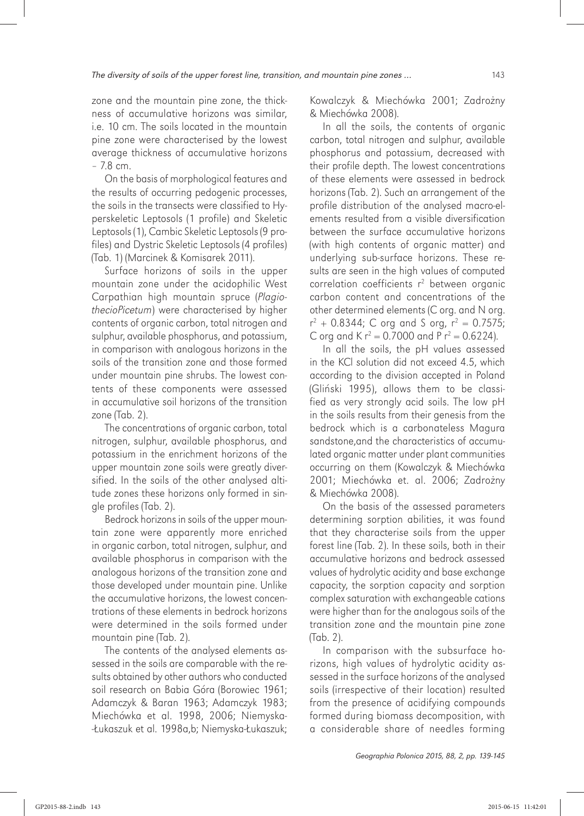zone and the mountain pine zone, the thickness of accumulative horizons was similar, i.e. 10 cm. The soils located in the mountain pine zone were characterised by the lowest average thickness of accumulative horizons – 7.8 cm.

On the basis of morphological features and the results of occurring pedogenic processes, the soils in the transects were classified to Hyperskeletic Leptosols (1 profile) and Skeletic Leptosols (1), Cambic Skeletic Leptosols (9 profiles) and Dystric Skeletic Leptosols (4 profiles) (Tab. 1) (Marcinek & Komisarek 2011).

Surface horizons of soils in the upper mountain zone under the acidophilic West Carpathian high mountain spruce (*PlagiothecioPicetum*) were characterised by higher contents of organic carbon, total nitrogen and sulphur, available phosphorus, and potassium, in comparison with analogous horizons in the soils of the transition zone and those formed under mountain pine shrubs. The lowest contents of these components were assessed in accumulative soil horizons of the transition zone (Tab. 2).

The concentrations of organic carbon, total nitrogen, sulphur, available phosphorus, and potassium in the enrichment horizons of the upper mountain zone soils were greatly diversified. In the soils of the other analysed altitude zones these horizons only formed in single profiles (Tab. 2).

Bedrock horizons in soils of the upper mountain zone were apparently more enriched in organic carbon, total nitrogen, sulphur, and available phosphorus in comparison with the analogous horizons of the transition zone and those developed under mountain pine. Unlike the accumulative horizons, the lowest concentrations of these elements in bedrock horizons were determined in the soils formed under mountain pine (Tab. 2).

The contents of the analysed elements assessed in the soils are comparable with the results obtained by other authors who conducted soil research on Babia Góra (Borowiec 1961; Adamczyk & Baran 1963; Adamczyk 1983; Miechówka et al. 1998, 2006; Niemyska- -Łukaszuk et al. 1998a,b; Niemyska-Łukaszuk;

Kowalczyk & Miechówka 2001; Zadrożny & Miechówka 2008).

In all the soils, the contents of organic carbon, total nitrogen and sulphur, available phosphorus and potassium, decreased with their profile depth. The lowest concentrations of these elements were assessed in bedrock horizons (Tab. 2). Such an arrangement of the profile distribution of the analysed macro-elements resulted from a visible diversification between the surface accumulative horizons (with high contents of organic matter) and underlying sub-surface horizons. These results are seen in the high values of computed correlation coefficients  $r^2$  between organic carbon content and concentrations of the other determined elements (C org. and N org.  $r^2$  + 0.8344; C org and S org,  $r^2$  = 0.7575; C org and K  $r^2 = 0.7000$  and P  $r^2 = 0.6224$ ).

In all the soils, the pH values assessed in the KCl solution did not exceed 4.5, which according to the division accepted in Poland (Gliński 1995), allows them to be classified as very strongly acid soils. The low pH in the soils results from their genesis from the bedrock which is a carbonateless Magura sandstone,and the characteristics of accumulated organic matter under plant communities occurring on them (Kowalczyk & Miechówka 2001; Miechówka et. al. 2006; Zadrożny & Miechówka 2008).

On the basis of the assessed parameters determining sorption abilities, it was found that they characterise soils from the upper forest line (Tab. 2). In these soils, both in their accumulative horizons and bedrock assessed values of hydrolytic acidity and base exchange capacity, the sorption capacity and sorption complex saturation with exchangeable cations were higher than for the analogous soils of the transition zone and the mountain pine zone (Tab. 2).

In comparison with the subsurface horizons, high values of hydrolytic acidity assessed in the surface horizons of the analysed soils (irrespective of their location) resulted from the presence of acidifying compounds formed during biomass decomposition, with a considerable share of needles forming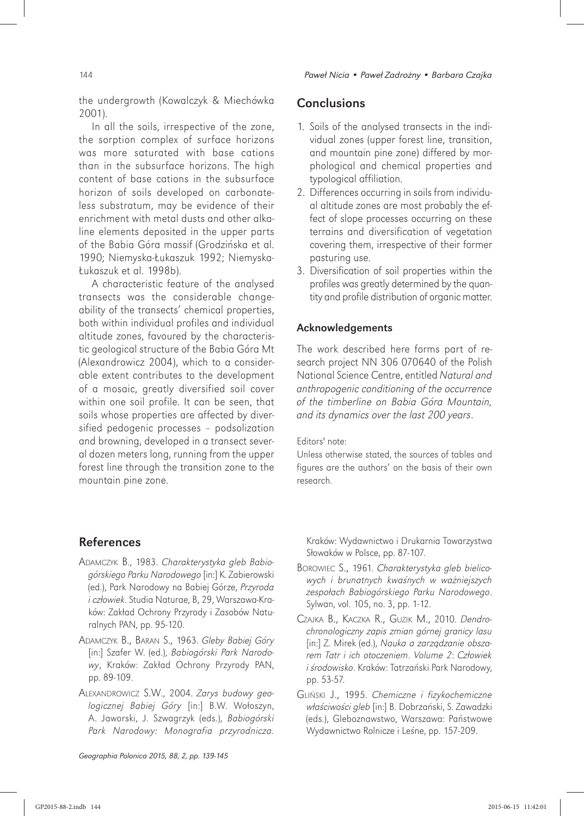the undergrowth (Kowalczyk & Miechówka 2001).

In all the soils, irrespective of the zone, the sorption complex of surface horizons was more saturated with base cations than in the subsurface horizons. The high content of base cations in the subsurface horizon of soils developed on carbonateless substratum, may be evidence of their enrichment with metal dusts and other alkaline elements deposited in the upper parts of the Babia Góra massif (Grodzińska et al. 1990; Niemyska-Łukaszuk 1992; Niemyska-Łukaszuk et al. 1998b).

A characteristic feature of the analysed transects was the considerable changeability of the transects' chemical properties, both within individual profiles and individual altitude zones, favoured by the characteristic geological structure of the Babia Góra Mt (Alexandrowicz 2004), which to a considerable extent contributes to the development of a mosaic, greatly diversified soil cover within one soil profile. It can be seen, that soils whose properties are affected by diversified pedogenic processes – podsolization and browning, developed in a transect several dozen meters long, running from the upper forest line through the transition zone to the mountain pine zone.

## **Conclusions**

- 1. Soils of the analysed transects in the individual zones (upper forest line, transition, and mountain pine zone) differed by morphological and chemical properties and typological affiliation.
- 2. Differences occurring in soils from individual altitude zones are most probably the effect of slope processes occurring on these terrains and diversification of vegetation covering them, irrespective of their former pasturing use.
- 3. Diversification of soil properties within the profiles was greatly determined by the quantity and profile distribution of organic matter.

### Acknowledgements

The work described here forms part of research project NN 306 070640 of the Polish National Science Centre, entitled *Natural and anthropogenic conditioning of the occurrence of the timberline on Babia Góra Mountain, and its dynamics over the last 200 years*.

### Editors' note:

Unless otherwise stated, the sources of tables and figures are the authors' on the basis of their own research.

# References

- ADAMCZYK B., 1983. *Charakterystyka gleb Babiogórskiego Parku Narodowego* [in:] K. Zabierowski (ed.), Park Narodowy na Babiej Górze, *Przyroda i cz*ł*owiek*. Studia Naturae, B, 29, Warszawa-Kraków: Zakład Ochrony Przyrody i Zasobów Naturalnych PAN, pp. 95-120.
- ADAMCZYK B., BARAN S., 1963. *Gleby Babiej Góry* [in:] Szafer W. (ed.), *Babiogórski Park Narodowy*, Kraków: Zakład Ochrony Przyrody PAN, pp. 89-109.
- ALEXANDROWICZ S.W., 2004. *Zarys budowy geologicznej Babiej Góry* [in:] B.W. Wołoszyn, A. Jaworski, J. Szwagrzyk (eds.), *Babiogórski Park Narodowy: Monografia przyrodnicza.*

Kraków: Wydawnictwo i Drukarnia Towarzystwa Słowaków w Polsce, pp. 87-107.

- BOROWIEC S., 1961. *Charakterystyka gleb bielicowych i brunatnych kwa*ś*nych w wa*ż*niejszych zespo*ł*ach Babiogórskiego Parku Narodowego*. Sylwan, vol. 105, no. 3, pp. 1-12.
- CZAJKA B., KACZKA R., GUZIK M., 2010. *Dendrochronologiczny zapis zmian górnej granicy lasu* [in:] Z. Mirek (ed.), *Nauka a zarz*ą*dzanie obszarem Tatr i ich otoczeniem*. *Volume 2*: *Cz*ł*owiek i* ś*rodowisko*. Kraków: Tatrzański Park Narodowy, pp. 53-57.
- GLIŃSKI J., 1995. *Chemiczne i fizykochemiczne w*ł*a*ś*ciwo*ś*ci gleb* [in:] B. Dobrzański, S. Zawadzki (eds.), Gleboznawstwo, Warszawa: Państwowe Wydawnictwo Rolnicze i Leśne, pp. 157-209.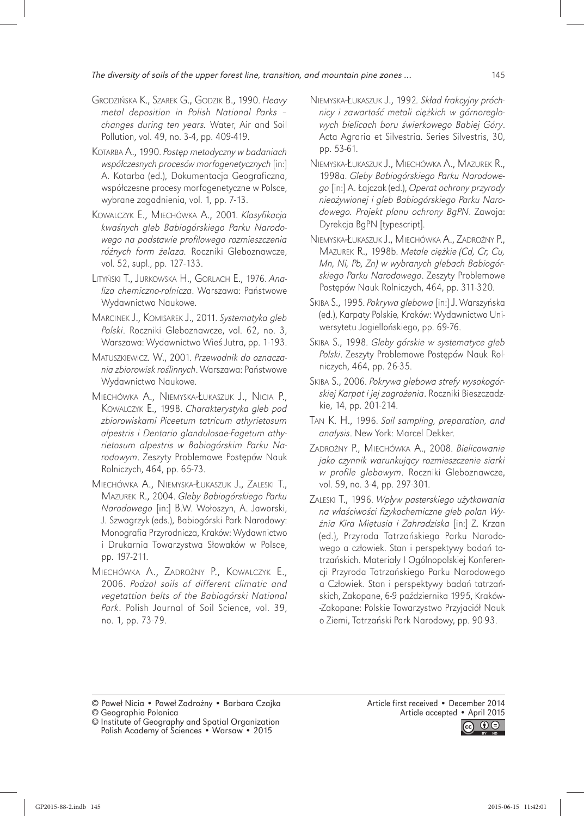- GRODZIŃSKA K., SZAREK G., GODZIK B., 1990. *Heavy metal deposition in Polish National Parks – changes during ten years.* Water, Air and Soil Pollution, vol. 49, no. 3-4, pp. 409-419.
- KOTARBA A., 1990. *Post*ę*p metodyczny w badaniach wspó*ł*czesnych procesów morfogenetycznych* [in:] A. Kotarba (ed.), Dokumentacja Geograficzna, współczesne procesy morfogenetyczne w Polsce, wybrane zagadnienia, vol. 1, pp. 7-13.
- KOWALCZYK E., MIECHÓWKA A., 2001. *Klasyfikacja kwa*ś*nych gleb Babiogórskiego Parku Narodowego na podstawie profilowego rozmieszczenia ró*ż*nych form* ż*elaza.* Roczniki Gleboznawcze, vol. 52, supl., pp. 127-133.
- LITYŃSKI T., JURKOWSKA H., GORLACH E., 1976. *Analiza chemiczno-rolnicza*. Warszawa: Państwowe Wydawnictwo Naukowe.
- MARCINEK J., KOMISAREK J., 2011. *Systematyka gleb Polski*. Roczniki Gleboznawcze, vol. 62, no. 3, Warszawa: Wydawnictwo Wieś Jutra, pp. 1-193.
- MATUSZKIEWICZ. W., 2001. *Przewodnik do oznaczania zbiorowisk ro*ś*linnych*. Warszawa: Państwowe Wydawnictwo Naukowe.
- MIECHÓWKA A., NIEMYSKA-ŁUKASZUK J., NICIA P., KOWALCZYK E., 1998. *Charakterystyka gleb pod zbiorowiskami Piceetum tatricum athyrietosum alpestris i Dentario glandulosae-Fagetum athyrietosum alpestris w Babiogórskim Parku Narodowym*. Zeszyty Problemowe Postępów Nauk Rolniczych, 464, pp. 65-73.
- MIECHÓWKA A., NIEMYSKA-ŁUKASZUK J., ZALESKI T., MAZUREK R., 2004. *Gleby Babiogórskiego Parku Narodowego* [in:] B.W. Wołoszyn, A. Jaworski, J. Szwagrzyk (eds.), Babiogórski Park Narodowy: Monografia Przyrodnicza, Kraków: Wydawnictwo i Drukarnia Towarzystwa Słowaków w Polsce, pp. 197-211.
- MIECHÓWKA A., ZADROŻNY P., KOWALCZYK E., 2006. *Podzol soils of different climatic and vegetattion belts of the Babiogórski National Park*. Polish Journal of Soil Science, vol. 39, no. 1, pp. 73-79.
- NIEMYSKA-ŁUKASZUK J., 1992*. Sk*ł*ad frakcyjny próchnicy i zawarto*ść *metali ci*ęż*kich w górnoreglowych bielicach boru* ś*wierkowego Babiej Góry*. Acta Agraria et Silvestria. Series Silvestris, 30, pp. 53-61.
- NIEMYSKA-ŁUKASZUK J., MIECHÓWKA A., MAZUREK R., 1998a. *Gleby Babiogórskiego Parku Narodowego* [in:] A. Łajczak (ed.), *Operat ochrony przyrody nieo*ż*ywionej i gleb Babiogórskiego Parku Narodowego. Projekt planu ochrony BgPN*. Zawoja: Dyrekcja BgPN [typescript].
- NIEMYSKA-ŁUKASZUK J., MIECHÓWKA A., ZADROŻNY P., MAZUREK R., 1998b. *Metale ci*ęż*kie (Cd, Cr, Cu, Mn, Ni, Pb, Zn) w wybranych glebach Babiogórskiego Parku Narodowego*. Zeszyty Problemowe Postępów Nauk Rolniczych, 464, pp. 311-320.
- SKIBA S., 1995. *Pokrywa glebowa* [in:] J. Warszyńska (ed.), Karpaty Polskie*,* Kraków: Wydawnictwo Uniwersytetu Jagiellońskiego, pp. 69-76.
- SKIBA S., 1998. *Gleby górskie w systematyce gleb Polski*. Zeszyty Problemowe Postępów Nauk Rolniczych, 464, pp. 26-35.
- SKIBA S., 2006. *Pokrywa glebowa strefy wysokogórskiej Karpat i jej zagro*ż*enia*. Roczniki Bieszczadzkie, 14, pp. 201-214.
- TAN K. H., 1996. *Soil sampling, preparation, and analysis*. New York: Marcel Dekker.
- ZADROŻNY P., MIECHÓWKA A., 2008. *Bielicowanie jako czynnik warunkuj*ą*cy rozmieszczenie siarki w profile glebowym*. Roczniki Gleboznawcze, vol. 59, no. 3-4, pp. 297-301.
- ZALESKI T., 1996. *Wp*ł*yw pasterskiego u*ż*ytkowania na w*ł*a*ś*ciwo*ś*ci fizykochemiczne gleb polan Wy*ż*nia Kira Mi*ę*tusia i Zahradziska* [in:] Z. Krzan (ed.), Przyroda Tatrzańskiego Parku Narodowego a człowiek. Stan i perspektywy badań tatrzańskich. Materiały I Ogólnopolskiej Konferencji Przyroda Tatrzań skiego Parku Narodowego a Człowiek. Stan i perspektywy badań tatrzańskich, Zakopane, 6-9 października 1995, Kraków- -Zakopane: Polskie Towarzystwo Przyjaciół Nauk o Ziemi, Tatrzań ski Park Narodowy, pp. 90-93.

© Paweł Nicia • Paweł Zadrożny • Barbara Czajka © Geographia Polonica

Article first received • December 2014 Article accepted • April 2015



<sup>©</sup> Institute of Geography and Spatial Organization Polish Academy of Sciences • Warsaw • 2015